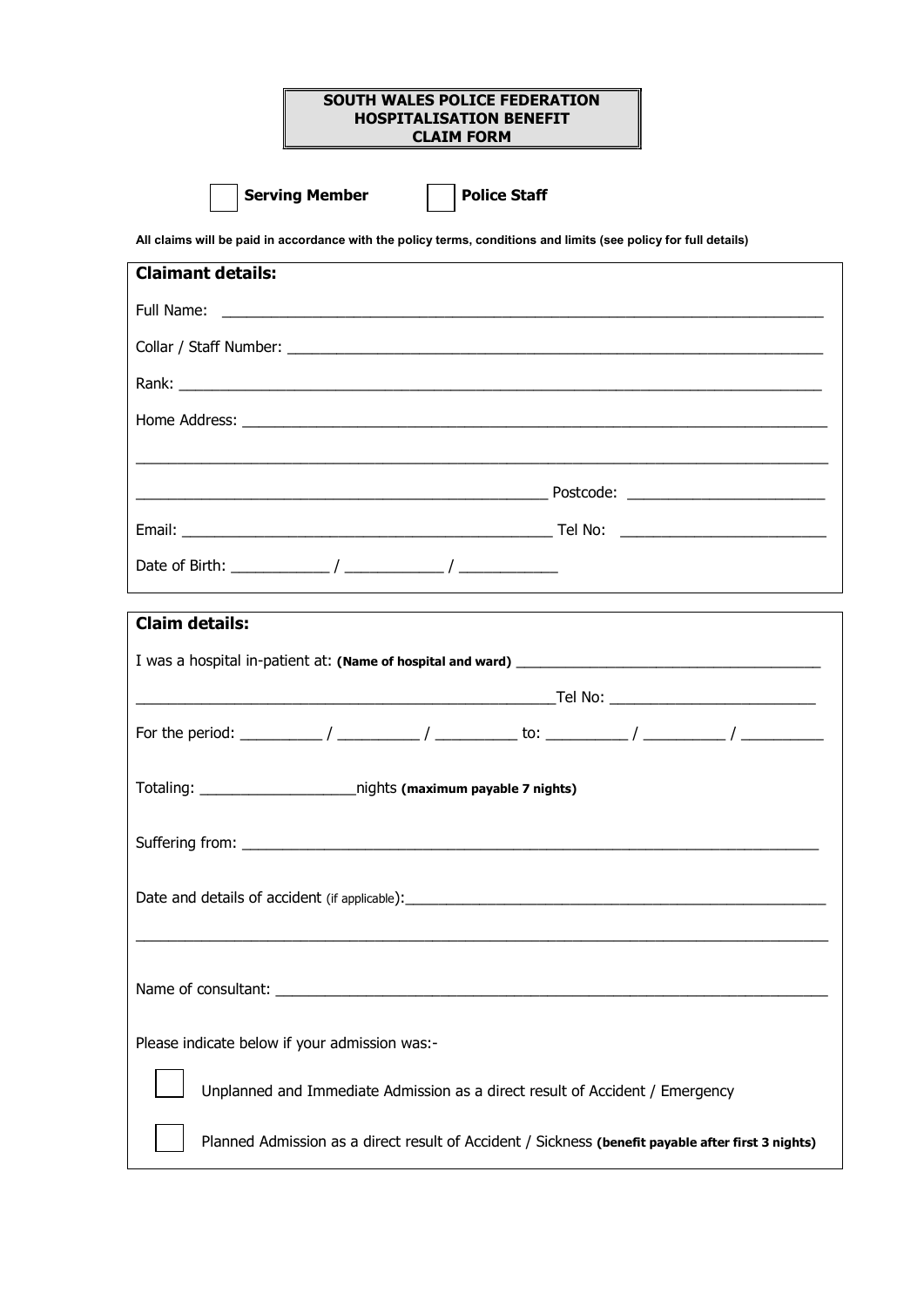## SOUTH WALES POLICE FEDERATION HOSPITALISATION BENEFIT CLAIM FORM

Serving Member **Police Staff** 

All claims will be paid in accordance with the policy terms, conditions and limits (see policy for full details)

| Claimant details:                                                                                  |  |  |
|----------------------------------------------------------------------------------------------------|--|--|
|                                                                                                    |  |  |
|                                                                                                    |  |  |
|                                                                                                    |  |  |
|                                                                                                    |  |  |
|                                                                                                    |  |  |
|                                                                                                    |  |  |
|                                                                                                    |  |  |
|                                                                                                    |  |  |
|                                                                                                    |  |  |
| <b>Claim details:</b>                                                                              |  |  |
|                                                                                                    |  |  |
|                                                                                                    |  |  |
|                                                                                                    |  |  |
| Totaling: _____________________________nights (maximum payable 7 nights)                           |  |  |
|                                                                                                    |  |  |
|                                                                                                    |  |  |
|                                                                                                    |  |  |
|                                                                                                    |  |  |
|                                                                                                    |  |  |
|                                                                                                    |  |  |
| Please indicate below if your admission was:-                                                      |  |  |
| Unplanned and Immediate Admission as a direct result of Accident / Emergency                       |  |  |
|                                                                                                    |  |  |
| Planned Admission as a direct result of Accident / Sickness (benefit payable after first 3 nights) |  |  |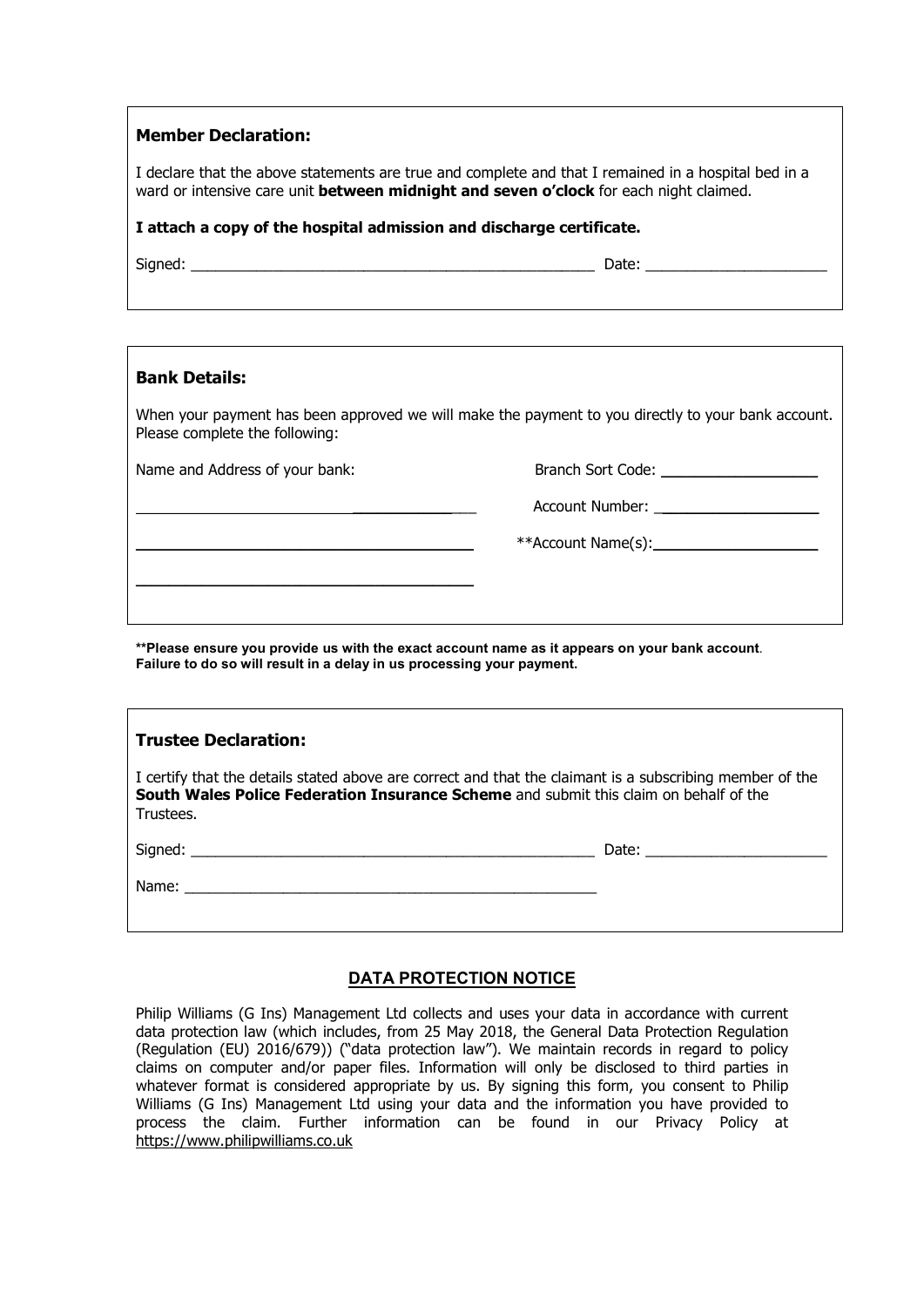# Member Declaration:

I declare that the above statements are true and complete and that I remained in a hospital bed in a ward or intensive care unit **between midnight and seven o'clock** for each night claimed.

## I attach a copy of the hospital admission and discharge certificate.

| ianec |  |
|-------|--|
|-------|--|

 $S^{\mathcal{S}}$  and  $S^{\mathcal{S}}$  and  $S^{\mathcal{S}}$  and  $S^{\mathcal{S}}$  and  $S^{\mathcal{S}}$  are  $S^{\mathcal{S}}$  and  $S^{\mathcal{S}}$  and  $S^{\mathcal{S}}$  are  $S^{\mathcal{S}}$  and  $S^{\mathcal{S}}$  are  $S^{\mathcal{S}}$  and  $S^{\mathcal{S}}$  are  $S^{\mathcal{S}}$  and  $S^{\mathcal{S}}$  are  $S^{\mathcal{S}}$ 

# Bank Details:

When your payment has been approved we will make the payment to you directly to your bank account. Please complete the following:

Name and Address of your bank:

\_\_\_\_\_\_\_\_\_\_\_\_\_\_\_\_\_\_\_\_\_\_\_\_\_\_\_\_\_\_\_\_\_\_\_\_\_\_\_\_\_

| <b>Branch Sort Code:</b> |
|--------------------------|
|--------------------------|

Account Number:

\_\_\_\_\_\_\_\_\_\_\_\_\_\_\_\_\_\_\_\_\_\_\_\_\_\_\_\_\_\_\_\_\_\_\_\_\_\_\_\_\_ \*\*Account Name(s):\_\_\_\_\_\_\_\_\_\_\_\_\_\_\_\_\_\_\_\_

\*\*Please ensure you provide us with the exact account name as it appears on your bank account. Failure to do so will result in a delay in us processing your payment.

| <b>Trustee Declaration:</b>                                                                                                                                                                                    |  |  |
|----------------------------------------------------------------------------------------------------------------------------------------------------------------------------------------------------------------|--|--|
| I certify that the details stated above are correct and that the claimant is a subscribing member of the<br>South Wales Police Federation Insurance Scheme and submit this claim on behalf of the<br>Trustees. |  |  |
|                                                                                                                                                                                                                |  |  |
|                                                                                                                                                                                                                |  |  |

# DATA PROTECTION NOTICE

Philip Williams (G Ins) Management Ltd collects and uses your data in accordance with current data protection law (which includes, from 25 May 2018, the General Data Protection Regulation (Regulation (EU) 2016/679)) ("data protection law"). We maintain records in regard to policy claims on computer and/or paper files. Information will only be disclosed to third parties in whatever format is considered appropriate by us. By signing this form, you consent to Philip Williams (G Ins) Management Ltd using your data and the information you have provided to process the claim. Further information can be found in our Privacy Policy at https://www.philipwilliams.co.uk